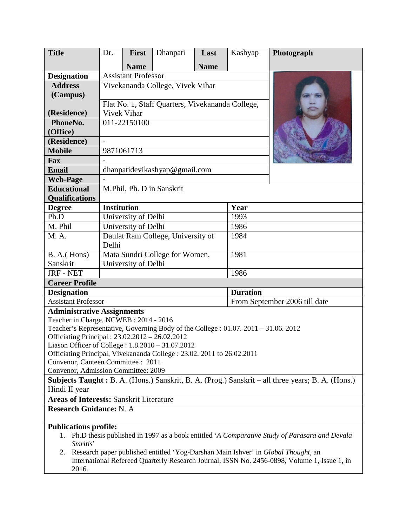| <b>Title</b>                                                                                                              | Dr.                                                | First       | Dhanpati | Last        | Kashyap                       | Photograph |
|---------------------------------------------------------------------------------------------------------------------------|----------------------------------------------------|-------------|----------|-------------|-------------------------------|------------|
|                                                                                                                           |                                                    | <b>Name</b> |          | <b>Name</b> |                               |            |
| <b>Designation</b>                                                                                                        | <b>Assistant Professor</b>                         |             |          |             |                               |            |
| <b>Address</b>                                                                                                            | Vivekananda College, Vivek Vihar                   |             |          |             |                               |            |
| (Campus)                                                                                                                  |                                                    |             |          |             |                               |            |
|                                                                                                                           | Flat No. 1, Staff Quarters, Vivekananda College,   |             |          |             |                               |            |
| (Residence)                                                                                                               | Vivek Vihar                                        |             |          |             |                               |            |
| PhoneNo.                                                                                                                  | 011-22150100                                       |             |          |             |                               |            |
| (Office)                                                                                                                  |                                                    |             |          |             |                               |            |
| (Residence)                                                                                                               |                                                    |             |          |             |                               |            |
| <b>Mobile</b>                                                                                                             | 9871061713                                         |             |          |             |                               |            |
| Fax                                                                                                                       |                                                    |             |          |             |                               |            |
| <b>Email</b>                                                                                                              | dhanpatidevikashyap@gmail.com                      |             |          |             |                               |            |
| <b>Web-Page</b>                                                                                                           |                                                    |             |          |             |                               |            |
| <b>Educational</b>                                                                                                        | M.Phil, Ph. D in Sanskrit                          |             |          |             |                               |            |
| <b>Qualifications</b>                                                                                                     |                                                    |             |          |             |                               |            |
| <b>Degree</b>                                                                                                             | <b>Institution</b>                                 |             |          |             | Year                          |            |
| Ph.D                                                                                                                      | University of Delhi                                |             |          |             | 1993                          |            |
| M. Phil                                                                                                                   | University of Delhi                                |             |          |             | 1986                          |            |
| M. A.                                                                                                                     | Daulat Ram College, University of<br>1984<br>Delhi |             |          |             |                               |            |
| $B. A.$ (Hons)                                                                                                            | Mata Sundri College for Women,<br>1981             |             |          |             |                               |            |
| Sanskrit                                                                                                                  | University of Delhi                                |             |          |             |                               |            |
| <b>JRF - NET</b>                                                                                                          | 1986                                               |             |          |             |                               |            |
| <b>Career Profile</b>                                                                                                     |                                                    |             |          |             |                               |            |
| <b>Designation</b>                                                                                                        | <b>Duration</b>                                    |             |          |             |                               |            |
| <b>Assistant Professor</b>                                                                                                |                                                    |             |          |             | From September 2006 till date |            |
| <b>Administrative Assignments</b>                                                                                         |                                                    |             |          |             |                               |            |
| Teacher in Charge, NCWEB: 2014 - 2016                                                                                     |                                                    |             |          |             |                               |            |
| Teacher's Representative, Governing Body of the College : 01.07. 2011 - 31.06. 2012                                       |                                                    |             |          |             |                               |            |
| Officiating Principal: 23.02.2012 - 26.02.2012                                                                            |                                                    |             |          |             |                               |            |
| Liason Officer of College: 1.8.2010 - 31.07.2012<br>Officiating Principal, Vivekananda College: 23.02. 2011 to 26.02.2011 |                                                    |             |          |             |                               |            |
| Convenor, Canteen Committee : 2011                                                                                        |                                                    |             |          |             |                               |            |
| Convenor, Admission Committee: 2009                                                                                       |                                                    |             |          |             |                               |            |
| Subjects Taught: B. A. (Hons.) Sanskrit, B. A. (Prog.) Sanskrit – all three years; B. A. (Hons.)                          |                                                    |             |          |             |                               |            |
| Hindi II year                                                                                                             |                                                    |             |          |             |                               |            |
| <b>Areas of Interests: Sanskrit Literature</b>                                                                            |                                                    |             |          |             |                               |            |
| <b>Research Guidance: N. A.</b>                                                                                           |                                                    |             |          |             |                               |            |
| <b>Publications profile:</b>                                                                                              |                                                    |             |          |             |                               |            |
| Ph.D thesis published in 1997 as a book entitled 'A Comparative Study of Parasara and Devala<br>1.<br>Smritis'            |                                                    |             |          |             |                               |            |
| Research paper published entitled 'Yog-Darshan Main Ishver' in Global Thought, an<br>2.                                   |                                                    |             |          |             |                               |            |
| International Refereed Quarterly Research Journal, ISSN No. 2456-0898, Volume 1, Issue 1, in<br>2016.                     |                                                    |             |          |             |                               |            |